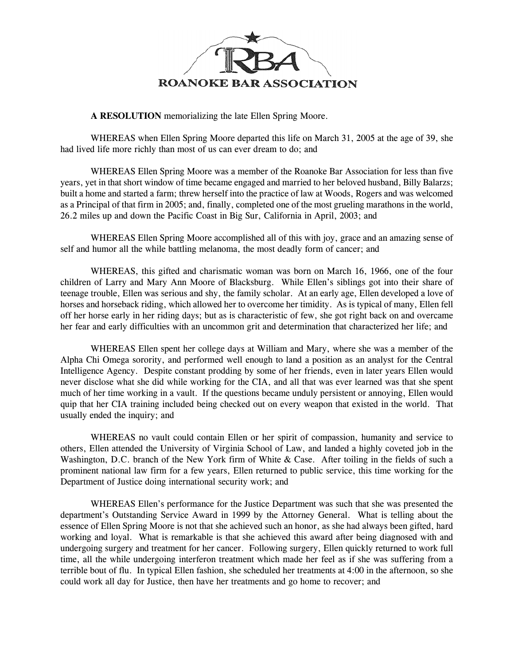

**A RESOLUTION** memorializing the late Ellen Spring Moore.

WHEREAS when Ellen Spring Moore departed this life on March 31, 2005 at the age of 39, she had lived life more richly than most of us can ever dream to do; and

WHEREAS Ellen Spring Moore was a member of the Roanoke Bar Association for less than five years, yet in that short window of time became engaged and married to her beloved husband, Billy Balarzs; built a home and started a farm; threw herself into the practice of law at Woods, Rogers and was welcomed as a Principal of that firm in 2005; and, finally, completed one of the most grueling marathons in the world, 26.2 miles up and down the Pacific Coast in Big Sur, California in April, 2003; and

WHEREAS Ellen Spring Moore accomplished all of this with joy, grace and an amazing sense of self and humor all the while battling melanoma, the most deadly form of cancer; and

WHEREAS, this gifted and charismatic woman was born on March 16, 1966, one of the four children of Larry and Mary Ann Moore of Blacksburg. While Ellen's siblings got into their share of teenage trouble, Ellen was serious and shy, the family scholar. At an early age, Ellen developed a love of horses and horseback riding, which allowed her to overcome her timidity. As is typical of many, Ellen fell off her horse early in her riding days; but as is characteristic of few, she got right back on and overcame her fear and early difficulties with an uncommon grit and determination that characterized her life; and

WHEREAS Ellen spent her college days at William and Mary, where she was a member of the Alpha Chi Omega sorority, and performed well enough to land a position as an analyst for the Central Intelligence Agency. Despite constant prodding by some of her friends, even in later years Ellen would never disclose what she did while working for the CIA, and all that was ever learned was that she spent much of her time working in a vault. If the questions became unduly persistent or annoying, Ellen would quip that her CIA training included being checked out on every weapon that existed in the world. That usually ended the inquiry; and

WHEREAS no vault could contain Ellen or her spirit of compassion, humanity and service to others, Ellen attended the University of Virginia School of Law, and landed a highly coveted job in the Washington, D.C. branch of the New York firm of White & Case. After toiling in the fields of such a prominent national law firm for a few years, Ellen returned to public service, this time working for the Department of Justice doing international security work; and

WHEREAS Ellen's performance for the Justice Department was such that she was presented the department's Outstanding Service Award in 1999 by the Attorney General. What is telling about the essence of Ellen Spring Moore is not that she achieved such an honor, as she had always been gifted, hard working and loyal. What is remarkable is that she achieved this award after being diagnosed with and undergoing surgery and treatment for her cancer. Following surgery, Ellen quickly returned to work full time, all the while undergoing interferon treatment which made her feel as if she was suffering from a terrible bout of flu. In typical Ellen fashion, she scheduled her treatments at 4:00 in the afternoon, so she could work all day for Justice, then have her treatments and go home to recover; and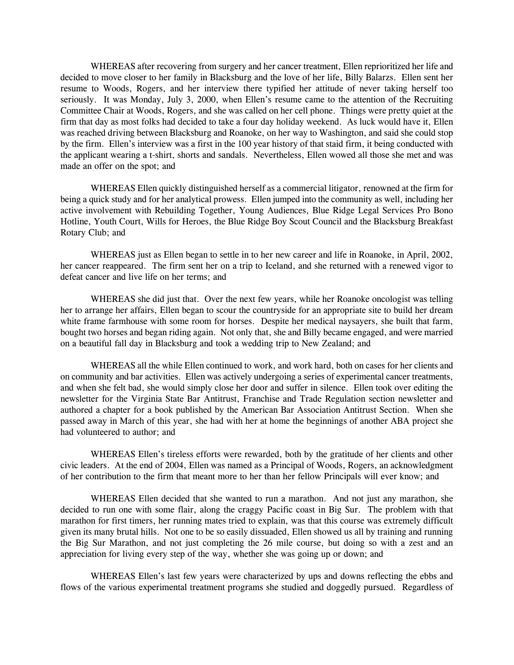WHEREAS after recovering from surgery and her cancer treatment, Ellen reprioritized her life and decided to move closer to her family in Blacksburg and the love of her life, Billy Balarzs. Ellen sent her resume to Woods, Rogers, and her interview there typified her attitude of never taking herself too seriously. It was Monday, July 3, 2000, when Ellen's resume came to the attention of the Recruiting Committee Chair at Woods, Rogers, and she was called on her cell phone. Things were pretty quiet at the firm that day as most folks had decided to take a four day holiday weekend. As luck would have it, Ellen was reached driving between Blacksburg and Roanoke, on her way to Washington, and said she could stop by the firm. Ellen's interview was a first in the 100 year history of that staid firm, it being conducted with the applicant wearing a t-shirt, shorts and sandals. Nevertheless, Ellen wowed all those she met and was made an offer on the spot; and

WHEREAS Ellen quickly distinguished herself as a commercial litigator, renowned at the firm for being a quick study and for her analytical prowess. Ellen jumped into the community as well, including her active involvement with Rebuilding Together, Young Audiences, Blue Ridge Legal Services Pro Bono Hotline, Youth Court, Wills for Heroes, the Blue Ridge Boy Scout Council and the Blacksburg Breakfast Rotary Club; and

WHEREAS just as Ellen began to settle in to her new career and life in Roanoke, in April, 2002, her cancer reappeared. The firm sent her on a trip to Iceland, and she returned with a renewed vigor to defeat cancer and live life on her terms; and

WHEREAS she did just that. Over the next few years, while her Roanoke oncologist was telling her to arrange her affairs, Ellen began to scour the countryside for an appropriate site to build her dream white frame farmhouse with some room for horses. Despite her medical naysayers, she built that farm, bought two horses and began riding again. Not only that, she and Billy became engaged, and were married on a beautiful fall day in Blacksburg and took a wedding trip to New Zealand; and

WHEREAS all the while Ellen continued to work, and work hard, both on cases for her clients and on community and bar activities. Ellen was actively undergoing a series of experimental cancer treatments, and when she felt bad, she would simply close her door and suffer in silence. Ellen took over editing the newsletter for the Virginia State Bar Antitrust, Franchise and Trade Regulation section newsletter and authored a chapter for a book published by the American Bar Association Antitrust Section. When she passed away in March of this year, she had with her at home the beginnings of another ABA project she had volunteered to author; and

WHEREAS Ellen's tireless efforts were rewarded, both by the gratitude of her clients and other civic leaders. At the end of 2004, Ellen was named as a Principal of Woods, Rogers, an acknowledgment of her contribution to the firm that meant more to her than her fellow Principals will ever know; and

WHEREAS Ellen decided that she wanted to run a marathon. And not just any marathon, she decided to run one with some flair, along the craggy Pacific coast in Big Sur. The problem with that marathon for first timers, her running mates tried to explain, was that this course was extremely difficult given its many brutal hills. Not one to be so easily dissuaded, Ellen showed us all by training and running the Big Sur Marathon, and not just completing the 26 mile course, but doing so with a zest and an appreciation for living every step of the way, whether she was going up or down; and

WHEREAS Ellen's last few years were characterized by ups and downs reflecting the ebbs and flows of the various experimental treatment programs she studied and doggedly pursued. Regardless of